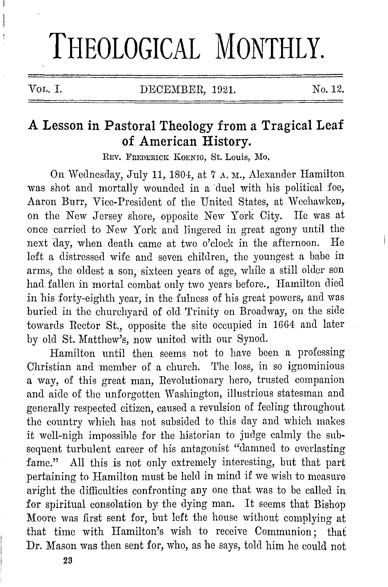# **THEOLOGICAL MONTHLY.**

# **A Lesson in Pastoral Theology from a Tragical Leaf of American History.**

REV. FREDERICK KOENIG, St. Louis, Mo.

On Wednesday, July 11, 1804, at 7 A. M., Alexander Hamilton was shot and mortally wounded in a duel with his political foe, Aaron Burr, Vice-President of the United States, at Weehawken, on the New Jersey shore, opposite New York City. He was at once carried to New York and lingered in great agony until the next day, when death came at two o'clock in the afternoon. He left a distressed wife and seven children, the youngest a babe in arms, the oldest a son, sixteen years of age, while a still older son had fallen in mortal combat only two years before., Hamilton died in his forty-eighth year, in the fulness of his great powers, and was buried in the churchyard of old Trinity on Broadway, on the side towards Rector St., opposite the site occupied in 1GG4 and later by old St. Matthew's, now united with our Synod.

Hamilton until then seems not to have been a professing Christian and member of a church. The loss, in so ignominious a way, of this great man, Revolutionary hero, trusted companion and aide of the unforgotten Washington, illustrious statesman and generally respected citizen, caused a revulsion of feeling throughout the country which has not subsided to this day and which makes it well-nigh impossible for the historian to judge calmly the subsequent turbulent career of his antagonist "damned to everlasting fame." All this is not only extremely interesting, but that part pertaining to Hamilton must be held in mind if we wish to measure aright the difficulties confronting any one that was to be called in for spiritual consolation by the dying man. It seems that Bishop Moore was first sent for, but left the house without complying at that time with Hamilton's wish to receive Communion; that Dr. Mason was then sent for, who, as he says, told him he could not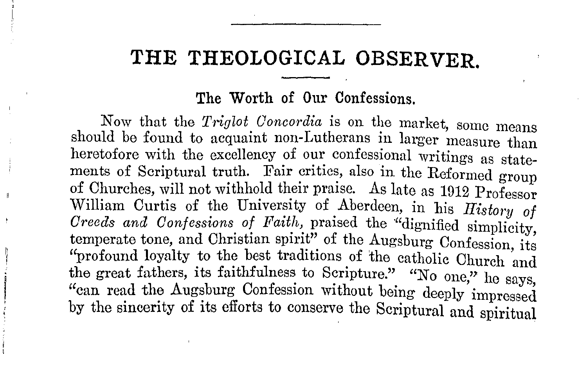# **THE THEOLOGICAL OBSERVER.**

#### **The Worth of Our** Confessions.

Now that the *Triglot Concordia* is on the market, some means should be found to acquaint non-Lutherans in larger measure than heretofore with the excellency of our confessional writings as statements of Scriptural truth. Fair critics, also in the Reformed group of Churches, will not withhold their praise. As late as 1912 Professor William Curtis of the University of Aberdeen, in his *History of Greeds and Confessions of Faith,* praised the '"dignified simplicity temperate tone, and Christian spirit" of the Augsburg Confession, its "profound loyalty to the best traditions of the catholic Church and the great fathers, its faithfulness to Scripture." "No one," he says, "can read the Augsburg Confession without being deeply impressed by the sincerity of its efforts to conserve the Scriptural and spiritual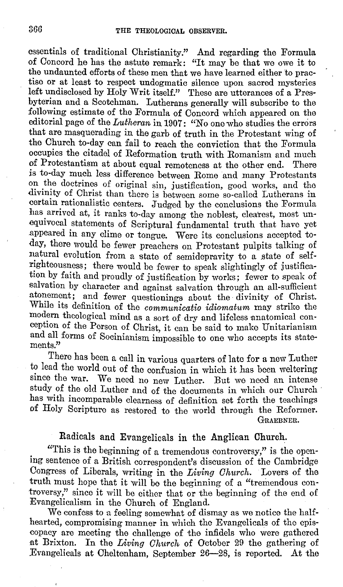essentials of traditional Christianity." And regarding the Formula of Concord he has the astute remark: "It may be that we owe it to the undaunted efforts of these men that we have learned either 'to practise or at least to respect undogmatic silence upon sacred mysteries left undisclosed by Holy Writ itself." These are utterances of a Presbyterian and a Scotchman. Lutherans generally will subscribe to the following estimate of the Formula of Concord which appeared on the editorial page of the *Lutheran* in 1907: "No one who studies the errors that are masquerading in the garb of truth in the Protestant wing of the Church to-day can fail to reach the conviction that the Formula occupies the citadel of Reformation truth with Romanism and much of Protestantism at about equal remoteness at the other end. There is to-day much less difference between Rome and many Protestants on the doctrines of original sin, justification, good works, and the divinity of Christ than there is between some so-called Lutherans in certain rationalistic centers. Judged by the conclusions the Formula has arrived at, it ranks to-day among the noblest, clearest, most unequivocal statements of Scriptural fundamental truth that have yet .appeared in any clime or tongue. Were its conclusions accepted today, there would be fewer preachers on Protestant pulpits talking of natural evolution from a state of semidepravity to a state of selfrighteousness; there would be £ewer to speak slightingly of justification by faith and proudly of justification by works; fewer to speak of salvation by character and against salvation through an all-sufficient atonement; and fewer questionings about the divinity of Christ. While its definition of the *communicatio idiomatum* may strike the modern theological mind as a sort of dry and lifeless anatomical conception of the Person of Christ, it can be said to make Unitarianism and all forms of Socinianism impossible to one who accepts its statements."

There has been a call in various quarters of late for a new Luther to lead the world out of the confusion in which it has been weltering since the war. We need no new Luther. But we need an intense study of the old Luther and of the documents in which our Church has with incomparable clearness of definition set forth the teachings of Holy Scripture as restored to the world through the Reformer. GRAEBNER.

## Radicals and Evangelicals in the Anglican Church.

"This is the beginning of a tremendous controversy," is the opening sentence of a British correspondent's discussion of the Cambridge Congress of Liberals, writing in the *Living Church.* Lovers of the truth must hope that it will be the beginning of a "tremendous controversy," since it will be either that or the beginning of the end of Evangelicalism in the Church of England.

We confess to a feeling somewhat of dismay as we notice the halfhearted, compromising manner in which the Evangelicals of the episcopacy are meeting the challenge of the infidels who were gathered at Brixton. In the *Living Church* of October 29 the gathering of Evangelicals at Cheltenham, September 26-28, is reported. At the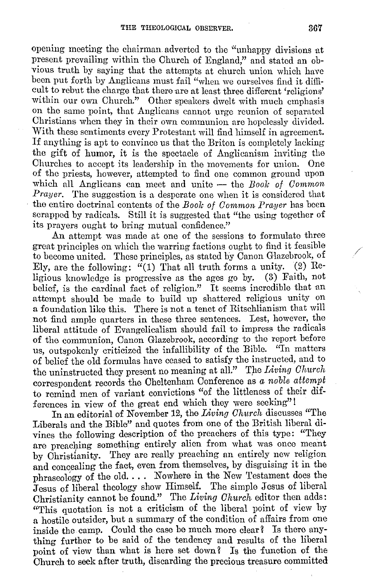opening meeting the chairman adverted to the "unhappy divisions at present prevailing within the Church of England," and stated an obvious truth by saying that the attempts at church union which have been put forth by Anglicans must fail "when we ourselves find it difficult to rebut the charge that there are at least three different 'religions' within our own Church." Other speakers dwelt with much emphasis on the same point, that Anglicans cannot urge reunion of separated Christians when they in their own communion are hopelessly divided. With these sentiments every Protestant will find himself in agreement. If anything is apt to convince us that the Briton is completely lacking the gift of humor, it is the spectacle of Anglicanism inviting the Churches to accept its leadership in the movements for union. One of the priests, however, attempted to find one common ground upon which all Anglicans can meet and unite - the *Book of Common Prayer.* The suggestion is a desperate one when it is considered that the entire doctrinal contents of the *Boole of Common Prayer* has been scrapped by radicals. Still it is suggested that "the using together of its prayers ought to bring mutual confidence."

**An** attempt was made at one of the sessions to formulate three great principles on which the warring factions ought to find it feasible to become united. These principles, as stated by Canon Glazebrook, of Ely, are the following: "(1) That all truth forms a unity. (2) Re-<br>ligious knowledge is progressive as the ages go by. (3) Faith, not ligious knowledge is progressive as the ages go by. belief, is the cardinal fact of religion." It seems incredible that an attempt should be made to build up shattered religious unity on a foundation like this. There is not a tenet of Ritschlianism that will not find ample quarters in these three sentences. Lest, however, the liberal attitude of Evangelicalism should fail to impress the radicals of the communion, Canon Glazebrook, according to the report before us, outspokenly criticized the infallibility of the Bible. "In matters of belief the old formulas have ceased to satisfy the instructed, and to the uninstructed they present no meaning at all." The *Living Church* correspondent records the Cheltenham Conference as *a noble attempt*  to remind men of variant convictions "of the littleness of their differences in view of the great end which they were seeking"!

In an editorial of November 12, the *Living Church* discusses "The Liberals and the Bible" and quotes from one of the British liberal divines the following description of the preachers of this type: "They are preaching something entirely alien from what was once meant by Christianity. They are really preaching an entirely new religion and concealing the fact, even from themselves, by disguising it in the phraseology of the old.  $\ldots$  Nowhere in the New Testament does the Jesus of liberal theology show Himself. The simple Jesus of liberal Christianity cannot be found." The *Living Church* editor then adds: "This quotation is not a criticism of the liberal point of view by a hostile outsider, but a summary of the condition of affairs from one inside the camp. Could the case be much more clear? Is there anything further to be said of the tendency and results of the liberal point of view than what is here set down? Is the function of the Church to seek after truth, discarding the precious treasure committed /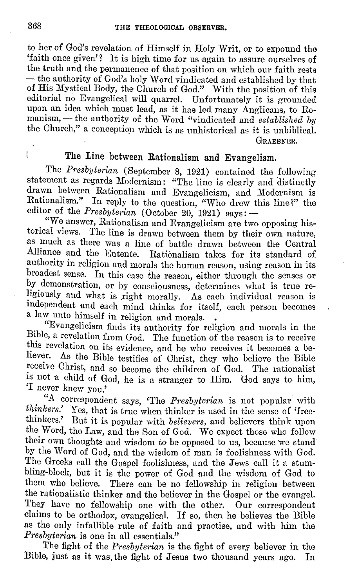to her of God's revelation of Himself in Holy Writ, or to expound the 'faith once given'? It is high time for us again to assure ourselves of the truth and the permanence of that position on which our faith rests -the authority of God's holy Word vindicated and established by that of His Mystical Body, the Ohurch of God." With the position of this editorial no Evangelical will quarrel. Unfortunately it is grounded upon an idea which must lead, as it has led many Anglicans, to Romanism, - the authority of the Word "vindicated and *established by* the Ohurch," a conception which is as unhistorical as it is unbiblical. GRAEBNER.

# **The Line between Rationalism and Evangelism.**

The *Presbyterian* (September 8, 1921) contained the following statement as regards Modernism: "The line is clearly and distinctly drawn between Rationalism and Evangelicism, and Modernism is Rationalism." In reply to the question, "Who drew this line?" the editor of the *Presbyterian* (October 20, 1921) says: -

"We answer, Rationalism and Evangelicism are two opposing his-<br>torical views. The line is drawn between them by their own nature The line is drawn between them by their own nature, as much as there was a line of battle drawn between the Central Alliance and the Entente Rationalism takes for its standard of Rationalism takes for its standard of authority in religion and morals the human reason, using reason in its broadest sense. In this case the reason, either through the senses or by demonstration, or by consciousness, determines what is true religiously and what is right morally. As each individual reason is independent and each mind thinks for itself, each person becomeg a law unto himself in religion and morals. •

"Evangelicism finds its authority for religion and morals in the Bible, a revelation from God. The function of the reason is to receive this revelation on its evidence, and he who receives it becomes a be-<br>liever. As the Bible totifier of Christ, they who helieve the Bible As the Bible testifies of Christ, they who believe the Bible receive Ohrist, and so become the children of God. The rationalist is not a child of God, he is a stranger to Him. God says to him, 'I never knew you.'

"A correspondent says, "The *Presbyterian* is not popular with *thinkers*." Yes that is true when thinker is used in the sense of 'free*thinkers.'* Yes, that is true when thinker is used in the sense of 'free-<br>thinkers.' But it is popular with *helieners* and believers think upon But it is popular with *believers*, and believers think upon the Word, the Law, and the Son of God. We expect those who follow their own thoughts and wisdom to be opposed to us, because we stand by the Word of God, and the wisdom of man is foolishness with God. The Greeks call the Gospel foolishness, and the Jews call it a stumbling-block, but it is the power of God and the wisdom of God to them who believe. There can be no fellowship in religion between the rationalistic thinker and the believer in the Gospel or the evangel. They have no fellowship one with the other. **Our** correspondent claims to be orthodox, evangelical. If so, then he believes the Bible as the only infallible rule of faith and practise, and with him the *Presbyterian* is one in all essentials."

The fight of the *Presbyterian* is the fight of every believer in the Bible, just as it was, the fight of Jesus two thousand years ago. In

ľ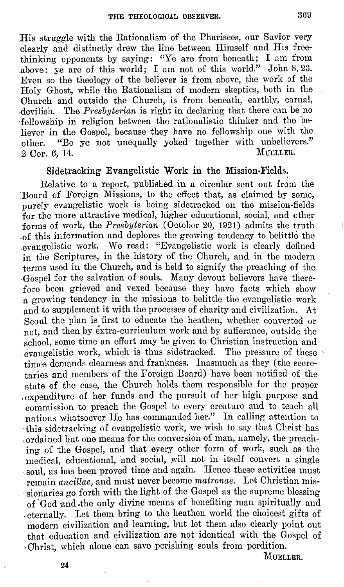His struggle with the Rationalism of the Pharisees, our Savior very clearly and distinctly drew the line between Himself and His freethinking opponents by saying: "Ye are from beneath; I am from above: ye are of this world; I am not of this world." John 8, 23. Even so the theology of the believer is from above, the work of the Holy Ghost, while the Rationalism of modern skeptics, both in the Church and outside the Church, is from beneath, earthly, carnal, ,devilish. The *Presbyterian* is right in declaring that there can be no fellowship in religion between the rationalistic thinker and the believer in the Gospel, because they have no fellowship one with the other. "Be ye not unequally yoked together with unbelievers." 2 Cor. 6, 14.

#### **Sidetracking Evangelistic Work in the Mission-Fields.**

Relative to a report, published in a circular sent out from the Board of Foreign Missions, to the effect that, as claimed by some, purely evangelistic work is being sidetracked on the mission-fields for the more attractive medical, higher educational, social, and other forms of work, the *Presbyterian* (October 20, 1921) admits the truth .0 f this information and deplores the growing tendency to belittle the ,evangelistic work. We read: '"Evangelistic work is clearly defined in the Scriptures, in the history of the Church, and in the modern terms used in the Church, and is held to signify the preaching of the ·Gospel for the salvation of souls. Many devout believers have therefore been grieved and vexed because they have facts which show a growing tendency in the missions to belittle the evangelistic work and to supplement it with the processes of charity and civilization. At Seoul the plan is first to educate the heathen, whether converted or not, and then by extra-curriculum work and by sufferance, outside the school, some time an effort may be given to Christian instruction and . evangelistic work, which is thus sidetracked. The pressure of these times demands clearness and frankness. Inasmuch as they (the secretaries and members of the Foreign Board) have been notified of the state of tho case, the Church holds them responsible for the proper , expenditure of her funds and the pursuit of her high purpose and commission to preach the Gospel to every creature and to teach all nations whatsoever He has commanded her." In calling attention to this sidetracking of evangelistic work, we wish to say that Christ has . ordained but one means for the conversion of man, namely, the preaching of the Gospel, and that every other form of work, such as the medical, educational, and social, will not in itself convert a single . soul, as has been proved time and again. Hence these activities must remain *ancillae*, and must never become *matronae*. Let Christian mis-. sionaries go forth with the light of the Gospel as the supreme blessing of God and the only divine means of benefiting man spiritually and ,eternally. Let them bring to the heathen world the choicest gifts of modern civilization and learning, but let them also clearly point out that education and civilization are not identical with the Gospel of ,Christ, which alone can save perishing souls from perdition.

MUELLER.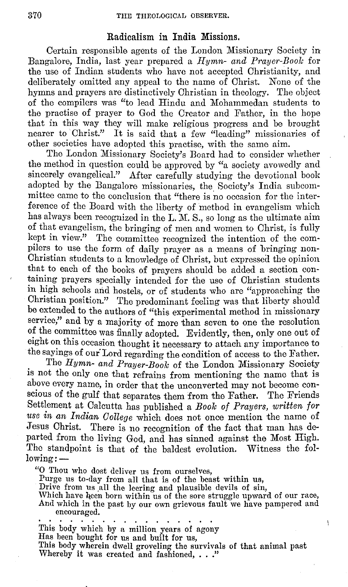### **Radicalism in India Missions.**

Certain responsible agents of the London Missionary Society in Bangalore, India, last year prepared a *Hymn- and Prayer-Boole* for the use of Indian students who have not accepted Christianity, and deliberately omitted any appeal to the name of Christ. None of the hymns and prayers are distinctively Christian in theology. The object of the compilers was "to lead Hindu and Mohammedan students to the practise of prayer to God the Creator and Father, in the hope that in this way they will make religious progress and be brought nearer to Christ." It is said that a few "leading" missionaries of other societies have adopted this practise, with the same aim.

The London Missionary Society's Board had to consider whether the method in question could be approved by "a society avowedly and sincerely evangelical." After carefully studying the devotional book adopted by the Bangalore missionaries, the Society's India subcommittee came to the conclusion that "there is no occasion for the interference of the Board with the liberty of method in evangelism which has always been recognized in the L. M. S., so long as the ultimate aim of that evangelism, the bringing of men and women to Christ, is fully kept in view." The committee recognized the intention of the compilers to use the form of daily prayer as a means of bringing non-Christian students to a knowledge of Christ, but expressed the opinion that to each of the books of prayers should be added a section containing prayers specially intended for the use of Christian students in high schools and hostels, or of students who are "approaching the Christian position." The predominant feeling was that liberty should be extended to the authors of "this experimental method in missionary service," and by a majority of more than seven to one the resolution of the committee was finally adopted. Evidently, then, only one out of eight on this occasion thought it necessary to attach any importance to the sayings of our Lord regarding the condition of access to the Father.

The *Hymn- and Prayer-Boole* of the London Missionary Society is not the only one that refrains from mentioning the name that is above every name, in order that the unconverted may not become conscious of the gulf that separates them from the Father. The Friends Settlement at Calcutta has published a *Book of Prayers, written for use in an Indian College* which does not once mention the name of Jesus Christ. There is no recognition of the fact that man has departed from the living God, and has sinned against the Most High. The standpoint is that of the baldest evolution. Witness the fol $lowing:$   $-$ 

"0 Thou who dost deliver us from ourselves,

Purge us to-day from all that is of the beast within us,

Drive from us all the leering and plausible devils of sin,

Which have been born within us of the sore struggle upward of our race, And which in the past by our own grievous fault we have pampered and

Y

This body which by a million years of agony Has been bought for us and built for us, This body wherein dwell groveling the survivals of that animal past Whereby it was created and fashioned, ..."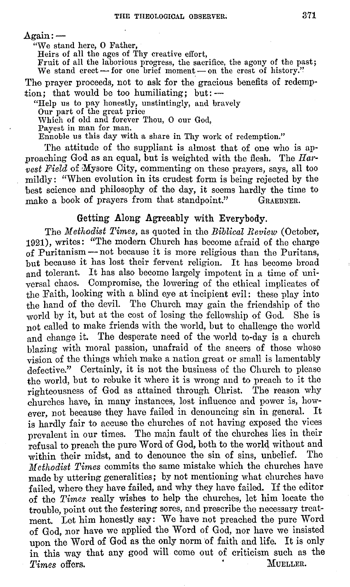$A$ gain: $-$ 

"We stand here, 0 Father,

Heirs of all the ages of Thy creative effort,

Fruit of all the laborious progress, the sacrifice, the agony of the past; We stand erect- for one brief moment- on the crest of history."

The prayer proceeds, not to ask for the gracious benefits of redemption; that would be too humiliating; but: $-$ 

"Help us to pay honestly, unstintingly, and bravely Our part of the great price

Which of old and forever Thou, O our God, Payest in man for man.

Ennoble us this day with a share in Thy work of redemption."

The attitude of the suppliant is almost that of one who is approaching God as an equal, but is weighted with the flesh. The *Harvest Field* of Mysore City, commenting on these prayers, says, all too mildly: "When evolution in its crudest form is being rejected by the best science and philosophy of the day, it seems hardly the time to make a book of prayers from that standpoint." GRAERNER. make a book of prayers from that standpoint."

#### Getting Along Agreeably with Everybody.

The *Methodist Times*, as quoted in the *Biblical Review* (October, 1921), writes: "The modern Church has become afraid of the charge of Puritanism-not because it is more religious than the Puritans, but because it has lost their fervent religion. It has become broad and tolerant. It has also become largely impotent in a time of universal chaos. Compromise, the lowering of the ethical implicates of the Faith, looking with a blind eye at incipient evil: these play into the hand of the devil. The Church may gain the friendship of the world by it, but at the cost of losing the fellowship of God. She is not called to make friends with the world, but to challenge the world and change it. The desperate need of the world to-day is a church blazing with moral passion, unafraid of the sneers of those whose vision of the things which make a nation great or small is lamentably defective." Certainly, it is not the business of the Church to please the world, but to rebuke it where it is wrong and to preach to it the righteousness of God as attained through Christ. 'fhe reason why churches have, in many instances, lost influence and power is, however, not because they have failed in denouncing sin in general. It is hardly fair to accuse the churches of not having exposed the vices prevalent in our times. The majn fault of the churches lies in their refusal to preach the pure Word of God, both to the world without and<br>within their midst, and to denounce the sin of sins, unhelief. The within their midst, and to denounce the sin of sins, unbelief. *Methodist Times* commits the same mistake which the churches have made by uttering generalities; by not mentioning what churches have failed, where they have failed, and why they have failed. If the editor of the *Times* really wishes to help the churches, let him locate the trouble, point out the festering sores, and prescribe the necessary treatment. Let him honestly say: We have not preached the pure Word of God, nor have we applied the Word of God, nor have we insisted upon the Word of God as the only norm of faith and life. It is only in this way that any good will come out of criticism such as the *Times* offers. MUELLER.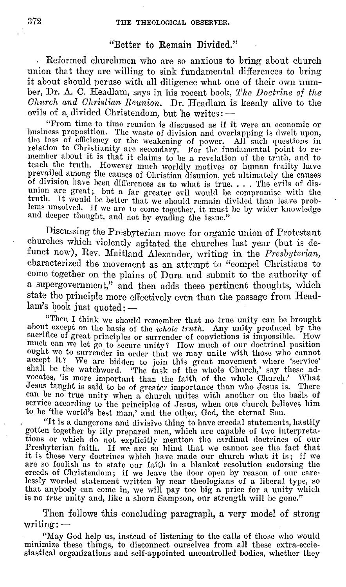#### "Better to Remain Divided."

Reformed churchmen who are so anxious *to* bring about church union that they are willing to sink fundamental differences to bring it about should peruse with all diligence what one of their own number, Dr. A. C. Headlam, says in his recent book, *The Doctrine of the Church and Christian Reimion.* Dr. Headlam is keenly alive to the evils of a divided Christendom, but he writes: ---<br>"From time to time reunion is discussed as if it were an economic or

business proposition. The waste of division and overlapping is dwelt upon, the loss of efficiency or the weakening of power. All such questions in relation to Christianity are secondary. For the fundamental point to re-<br>member about it is that it claims to be a revelation of the truth, and to teach. the truth. However much worldly motives or human frailty have prevailed among the causes of Christian disunion, yet ultimately the causes of division have been differences as to what is true. . . . The evils of disunion are great; hut a far greater evil would be compromise with the truth. It would he better that we should remain divided than leave problems unsolved. If we are to come together, it must he hy wider knowledge and deeper thought, and not by evading the issue."

Discussing the Presbyterian move for organic union of Protestant churches which violently agitated the churches last year (but is defunct now), Rev. Maitland Alexander, writing in the *Presbyterian*, characterized the movement as an attempt to "compel Christians to come together on the plains of Dura and submit to the authority of a supergovernment," and then adds these pertinent thoughts, which state the principle more effectively oven than the passage from Head $lam's$  book just quoted:  $-$ 

"Then I think we should remember that no true unity can be brought about except on the basis of the whole truth. Any unity produced by the sacrifice of great principles or surrender of convictions is impossible. How much can we let go to secure unity? How much of our doctrinal position ought we to surrender in order that we may unite with those who cannot accept it? We are bidden to join this great movement where 'service' shall be the watchword. 'The task of the whole Church,' say these advocates, 'is more important than the faith of the whole Church.' What Jesus taught is said to be of greater importance than who Jesus is. There Jesus taught is said to be of greater importance than who Jesus is. can be no true unity when a church unites with another on the basis of service according to the principles of Jesus, when one church believes him to be 'the world's best man,' and the other, God, the eternal Son.

, "It is a dangerous and divisive thing.to have creedal statements, hastily gotten together by illy prepared men, which are capable of two interpretations or which do not explicitly mention the cardinal doctrines of our Presbyterian faith. If we are so blind that we cannot see the fact that it is see very doctrines which have made our church what it is; if we it is these very doctrines which have made our church what it is; if we are so foolish as to state our faith in a blanket resolution endorsing the creeds of Christendom; if we leave the door open by reason of our carelessly worded statement written by near theologians of a liberal type, so that anybody can come in, we will pay too big a price for a unity which is no true unity and, like a shorn Sampson, our strength will be gone."

Then follows this concluding paragraph, a very model of strong writing:-

"May God help us, instead of listening to the calls of those who would minimize these things, to disconnect ourselves from all these extra-ecclesiastical organizations and self-appointed uncontrolled bodies, whether they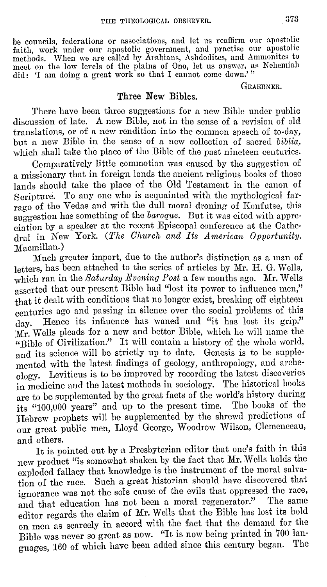be councils, federations or associations, and let us reaffirm our apostolic faith, work under our apostolic government, and practise our apostolic methods. \Vhen we are called by Arabians, Ashdodites, and Ammonites to meet on the low levels of the plains of Ono, let us answer, as Nehemiah did: 'I am doing a great work so that I cannot come down.'"

#### **GRAEBNER.**

## **Three New Bibles.**

There have been three suggestions for a new Bible under public discussion of late. A new Bible, not in the sense of a revision of old translations, or of a new rendition into the common speech of to-day, but a new Bible in the sense of a new collection of sacred *biblia,*  which shall take the place of the Bible of the past nineteen centuries.

Comparatively little commotion was caused by the suggestion of a missionary that in foreign lands the ancient religious books of those lands should take the place of the Old Testament in the canon of Scripture. To any one who is acquainted with the mythological farrago of the Vedas and with the dull moral droning of Konfutse, this suggestion has something of the *baroque*. But it was cited with appreciation by a speaker at the recent Episcopal conference at the Cathedral in New York. *(The Church and Its American Opportunity.*  Macmillan.)

Much greater import, due to the author's distinction as a man of letters, has been attached to the series of articles by Mr. H. G. Wells, which ran in the *Saturday Evening Post* a few months ago. Mr. Wells asserted that our present Bible had "lost its power to influence men," that it dealt with conditions that no longer exist, breaking off eighteen centuries ago and passing in silence over the social problems of this day. Hence its influence has waned and "it has lost its grip." :Mr. Wells pleads for a new and better Bible, which he will name the "Bible of Civilization." It will contain a history of the whole world, and its science will be strictly up to date. Genesis is to be supplemented with the latest findings of geology, anthropology, and archeology. Leviticus is to be improved by recording the latest discoveries in medicine and the latest methods in sociology. The historical books are to be supplemented by the great facts of the world's history during its "100,000 years" and up to the present time. Tho books of the Hebrew prophets will be supplemented by the shrewd predictions of our great public men, Lloyd George, Woodrow Wilson, Clemenceau, and others.

It is pointed out by a Presbyterian editor that one's faith in this new product "is. somewhat shaken by the fact that Mr.Wells holds the exploded fallacy that knowledge is the instrument of the moral salvation of the race. Such a great historian should have discovered that ignorance was not the sole cause of the evils that oppressed the race, and that education has not been a moral regenerator." The same editor regards the claim of Mr. Wells that tho Bible has lost its hold on men as scarcely in accord with the fact that the demand for the Bible was never so great as now. "It is now being printed in 700 languages, 160 of which have been added since this century began. The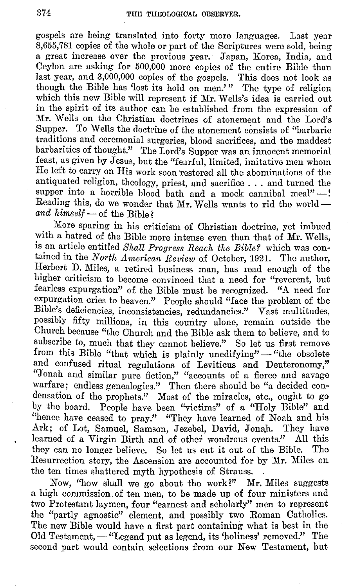gospels are being translated into forty more languages. Last year 8,655,781 copies of the whole or part of the Scriptures were sold, being a great increase over the previous year. Japan, Korea, India, and Ceylon are asking for 500,000 more copies of the entire Bible than last year, and 3,000,000 copies of the gospels. This does not look as though the Bible has 'lost its hold on men.'" The type of religion which this new Bible will represent if Mr. Wells's idea is carried out in the spirit of its author can be established from the expression of Mr. Wells on the Christian doctrines of atonement and the Lord's Supper. To Wells the doctrine of the atonement consists of "barbaric traditions and ceremonial surgeries, blood sacrifices, and the maddest barbarities of thought." The Lord's Supper was an innocent memorial feast, as given by Jesus, but the "fearful, limited, imitative men whom He left to carry on His work soon 'restored all the abominations of the antiquated religion, theology, priest, and sacrifice ... and turned the supper into a horrible blood bath and a mock cannibal meal" $-1$ Reading this, do we wonder that Mr. Wells wants to rid the world  $$ and himself - of the Bible?

Moro sparing in his criticism of Christian doctrine, yet imbued with a hatred of the Bible more intense even than that of Mr. Wells, is an article entitled *Shall Progress Reach the Bible?* which was contained in the *North American Review* of October, 1921. The author, Herbert D. Miles, a retired business man, has read enough of the higher criticism to become convinced that a need for "reverent, but fearless expurgation" of. the Bible must be recognized. "A. need for expurgation cries to heaven." People should "face the problem of the Bible's deficiencies, inconsistencies, redundancies." Vast multitudes, possibly fifty millions, in this country alone, remain outside the Church because "the Church and the Bible ask them to believe, and to subscribe to, much that they cannot believe." So let us first remove from this Bible "that which is plainly unedifying" - "the obsolete and confused ritual regulations of Leviticus and Deuteronomy," "Jonah and similar pure fiction," "accounts of a fierce and savage warfare; endless genealogies." 'fhen there should be "a decided condensation of the prophets." Most of the miracles, etc., ought to go by the board. People have been "victims" of a "Holy Bible" and "hence have ceased to pray." "They have learned of Noah and his Ark; of Lot, Samuel, Samson, Jezebel, David, Jonah. They have learned of a Virgin Birth and of other wondrous events." All this they can no longer believe. So let us cut it out of the Bible. The Resurrection story, the Ascension are accounted for by Mr. Miles on the ten times shattered myth hypothesis of Strauss.

Now, "how shall we go about the work?" Mr. Miles suggests a high commission. of ten men, to be made up of four ministers and two Protestant laymen, four "earnest and scholarly" men. to represent the ''partly agnostic" element, and possibly two Roman Catholics. The new Bible would have a first part containing what is best in the Old Testament, - "Legend put as legend, its 'holiness' removed." The second part would contain selections from our New Testament, but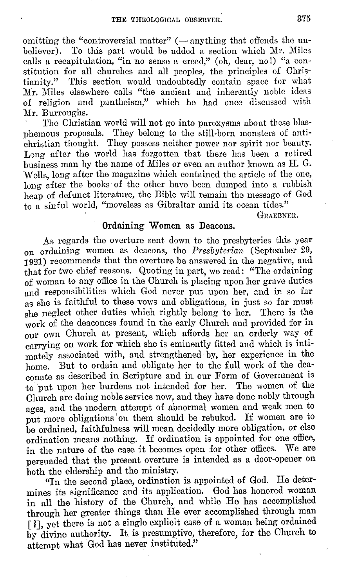omitting the "controversial matter"  $\sim$  anything that offends the un-<br>believer). To this part would be added a section which Mr. Miles To this part would be added a section which Mr. Miles calls a recapitulation, "in no sense a creed," (oh, dear, no!) "a constitution for all churches and all peoples, the principles of Christianity." This section would undoubtedly contain space for what This section would undoubtedly contain space for what Mr. Miles elsewhere calls "the ancient and inherently noble ideas of religion and pantheism," which he had once discussed with Mr. Burroughs.

The Christian world will not go into paroxysms about these blasphemous proposals. They belong to the still-born monsters of antichristian thought. They possess neither power nor spirit nor beauty. Long after the world has forgotten that there has been a retired business man by the name of Miles or even an author known as II. G. Wells, long after the magazine which contained the article of the one, long after the books of the other have been dumped into a rubbish heap of defunct literature, the Bible will remain the message of God to a sinful world, "moveless as Gibraltar amid its ocean tides."

GRAEBNER.

#### **Ordaining Women** as Deacons.

As regards the overture sent down to the presbyteries this year on ordaining women as deacons, the *Presbyterian* (September 29, 1921) recommends that the overture be answered in the negative, and that for two chief reasons. Quoting in part, we read: "The ordaining of woman to any office in the Church is placing upon her grave duties and responsibilities which God never put upon her, and in so far as she is faithful to these vows and obligations, in just so far must she neglect other duties which rightly belong 'to her. There is the work of the deaconess found in the early Church and provided for in our own Church at present, which affords her an orderly way of carrying on work for which she is eminently fitted and which is intimately associated with, and strengthened by, her experience in the home. But to ordain and obligate her to the full work of the deaconate as described in Scripture and in our Form of Government is to 'put upon her burdens not intended for her. The women of the Church are doing noble service now, and they have done nobly through ages, and the modern attempt of abnormal women and weak men to put more obligations 'on them should be rebuked. If women are to be ordained, faithfulness will mean decidedly more obligation, or else ordination means nothing. If ordination is appointed for one office, in the nature of the case it becomes open for other offices. We are persuaded that the present overture is intended as a door-opener on both the eldership and the ministry.

''In the second place, ordination is appointed of God. He determines its significance and its application. God has honored woman in all the history of the Church, and while He has accomplished through her greater things than He ever accomplished through man [ ?], yet there is not a single explicit case of a woman being ordained by divine authority. It is presumptive, therefore, for the Church to attempt what God has never instituted."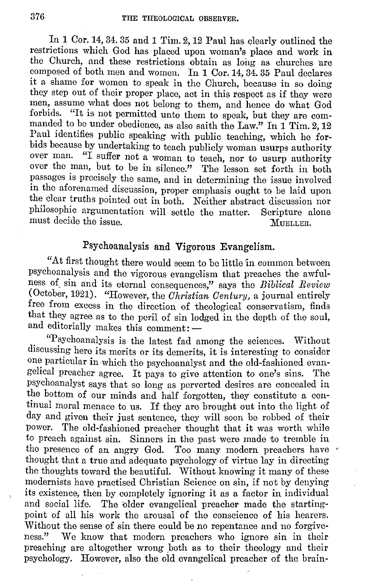In 1 Cor. 14, 34. 35 and 1 Tim. 2, 12 Paul has clearly outlined the restrictions which God has placed upon woman's place and work in the Church, and these restrictions obtain as long as churches 'are composed of both men and women. In 1 Cor.14, 34. 35 Paul declares it a shame for women to speak in the Church, because in so doing they step out of their proper place, act in this respect as if they were men, assume what docs not belong to them, and hence do what God forbids. "It is not permitted unto them to speak, but they are commanded to be under obedience, as also saith tho Law." In 1 Tim. 2, 12 Paul identifies public speaking with public teaching, which he forbids because by undertaking to teach publicly woman usurps authority over man. "I suffer not a woman to teach, nor to usurp authority over the man, but to be in silence." The lesson set forth in both passages is precisely the same, and in determining the issue involved m the aforenamed discussion, proper emphasis ought to be laid upon the clear truths pointed out in both. Neither abstract discussion nor philosophic argumentation will settle the matter. Scripture alone must decide the issue. MUELLER.

# Psychoanalysis and Vigorous Evangelism.

"At first thought there would seem to be little in common between psychoanalysis and the vigorous evangelism that preaches the awfulness of\_ sin and its eternal consequences," says the *Biblical Review*  (October, 1921). "However, the *Christian Century,* a journal entirely free from excess in the direction of theological conservatism, finds that they agree as to the peril of sin lodged in the depth of the soul, and editorially makes this comment: -

"Psychoanalysis is the latest fad among the sciences. Without discussing here its merits or its demerits, it is interesting to consider one particular in which the psychoanalyst and the old-fashioned evangelical preacher agree. It pays to give attention to one's sins. The psychoanalyst says that so long as perverted desires are concealed in the bottom of our minds and half forgotten, they constitute a continual moral menace to us. If they are brought out into the light of day and given their just sentence, they will soon be robbed of their power. The old-fashioned preacher thought that it was worth while to preach against sin. Sinners in the past were made to tremble in the presence of an angry God. Too. many modern preachers have ' thought that a true and adequate psychology of virtue lay in directing the thoughts toward the beautiful. Without knowing it many of these modernists have practised Christian Science on sin, if not by denying its existence, then by completely ignoring it as a factor in individual and social life. The older evangelical preacher made the startingpoint of all his work the arousal of the conscience of his hearers. Without the sense of sin there could be no repentance and no forgiveness." We know that modern preachers who ignore sin in their preaching are altogether wrong both as to their theology and their psychology. However, also the old evangelical preacher of the brain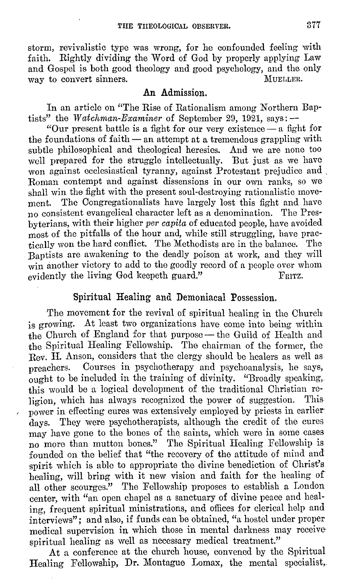storm, revivalistic type was wrong, for he confounded feeling with faith. Rightly dividing the Word of God by properly applying Law and Gospel is both good theology and good psychology, and the only way to convert sinners. MUELLER. way to convert sinners.

#### **An Admission.**

In an article on "The Rise of Rationalism among Northern Baptists" the *Watchman-Examiner* of September 29, 1921, says: --

"Our present battle is a fight for our very existence  $-$  a fight for the foundations of faith  $-$  an attempt at a tremendous grappling with subtle philosophical and theological heresies. And we are none too well prepared for the struggle intellectually. But just as we have won against ecclesiastical tyranny, against Protestant prejudice and . Roman contempt and against dissensions in our own ranks, so we shall win the fight with the present soul-destroying rationalistic movement. The Congregationalists have largely lost this fight and have no consistent evangelical character left as a denomination. The Presbyterians, with their higher *per capita* of educated people, have avoided most of the pitfalls of the hour and, while still struggling, have practically won the hard conflict. The Methodists are in the balance. The Baptists are awakening to the deadly poison at work, and they will win another victory to add to the goodly record of a people over whom evidently the living God keepeth guard." evidently the living God keepeth guard."

#### Spiritual Healing and Demoniacal Possession.

The movement for the revival of spiritual healing in tho Church is growing. At least two organizations have come into being within the Church of England for that purpose - the Guild of Health and the Spiritual Healing Fellowship. The chairman of the former, the Rev. H. Anson, considers that the clergy should be healers as well as preachers. Courses in psychotherapy and psychoanalysis, he says,  $\tilde{\text{output}}$  to be included in the training of divinity. "Broadly speaking, this would be a logical development of the traditional Christian religion, which has always recognized the power of suggestion. This power in effecting cures was extensively employed by priests in earlier days. They were psychotherapists, although the credit of the cures may have gone to the bones of the saints, which were in some cases no more than mutton bones." The Spiritual Healing Fellowship is founded on the belief that "the recovery of the attitude of mind and spirit which is able to appropriate the divine benediction of Christ's healing, will bring with it new vision and faith for the healing of all other scourges." The Fellowship proposes to establish a London center, with "an open chapel as a sanctuary of divine peace and healing, frequent spiritual ministrations, and offices for clerical help and interviews"; and also, if funds can be obtained, "a hostel under proper medical supervision in which those in mental darkness may receive· spiritual healing as well as necessary medical treatment."

At a conference at the church house, convened by the Spiritual Healing Fellowship, **Dr.** Montague Lomax, the mental specialist,.